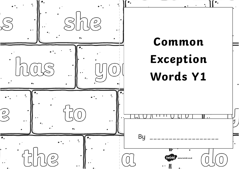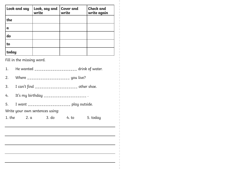| Look and say | Look, say and<br>write | <b>Cover and</b><br>write | <b>Check</b> and<br>write again |
|--------------|------------------------|---------------------------|---------------------------------|
| the          |                        |                           |                                 |
| $\mathbf a$  |                        |                           |                                 |
| do           |                        |                           |                                 |
| to           |                        |                           |                                 |
| today        |                        |                           |                                 |

- 1. He wanted  $\frac{1}{2}$  He wanted  $\frac{1}{2}$  =  $\frac{1}{2}$  =  $\frac{1}{2}$  drink of water.
- 2. Where \_\_\_\_\_\_\_\_\_\_\_\_\_\_\_\_\_\_\_\_\_ you live?
- 3. I can't find \_\_\_\_\_\_\_\_\_\_\_\_\_\_\_\_\_\_\_\_ other shoe.
- 4. It's my birthday \_\_\_\_\_\_\_\_\_\_\_\_\_\_\_\_\_\_\_ .
- 5. I want \_\_\_\_\_\_\_\_\_\_\_\_\_\_\_\_\_\_ play outside.

Write your own sentences using:

| 1. the | 2. a | 3. d <sub>o</sub> | 4. t <sub>o</sub> | 5. today |
|--------|------|-------------------|-------------------|----------|
|--------|------|-------------------|-------------------|----------|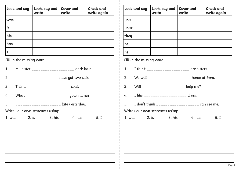| Look and say | Look, say and Cover and<br>write write | <b>Check and</b><br>write again |
|--------------|----------------------------------------|---------------------------------|
| was          |                                        |                                 |
| is           |                                        |                                 |
| his          |                                        |                                 |
| has          |                                        |                                 |
|              |                                        |                                 |

| 1.     |       |                                 | My sister ____________________ dark hair.  |        |      |
|--------|-------|---------------------------------|--------------------------------------------|--------|------|
| 2.     |       |                                 | ____________________ have got two cats.    |        |      |
|        |       |                                 | 3. This is _____________________ coat.     |        |      |
|        |       |                                 | 4. What _______________________ your name? |        |      |
|        |       |                                 | 5. I _____________________ late yesterday. |        |      |
|        |       | Write your own sentences using: |                                            |        |      |
| 1. was | 2. is |                                 | 3. his                                     | 4. has | 5. I |
|        |       |                                 |                                            |        |      |

| Look and say              | Look, say and<br>write | Cover and<br>write | <b>Check and</b><br>write again |
|---------------------------|------------------------|--------------------|---------------------------------|
| you                       |                        |                    |                                 |
| your                      |                        |                    |                                 |
| they                      |                        |                    |                                 |
| be                        |                        |                    |                                 |
| he                        |                        |                    |                                 |
| Fill in the missing word. |                        |                    |                                 |

- 1. I think \_\_\_\_\_\_\_\_\_\_\_\_\_\_\_\_\_\_\_ are sisters.
- 2. We will  $\frac{1}{2}$  We will  $\frac{1}{2}$  we not not not  $\frac{1}{2}$  and  $\frac{1}{2}$  are  $\frac{1}{2}$  home at 6pm.
- 3. Will \_\_\_\_\_\_\_\_\_\_\_\_\_\_\_\_\_\_ help me?
- 4. I like \_\_\_\_\_\_\_\_\_\_\_\_\_\_\_\_\_\_\_\_\_ dress.
- 5. I don't think  $\frac{1}{2}$   $\frac{1}{2}$   $\frac{1}{2}$   $\frac{1}{2}$   $\frac{1}{2}$   $\frac{1}{2}$   $\frac{1}{2}$   $\frac{1}{2}$   $\frac{1}{2}$   $\frac{1}{2}$   $\frac{1}{2}$   $\frac{1}{2}$   $\frac{1}{2}$   $\frac{1}{2}$   $\frac{1}{2}$   $\frac{1}{2}$   $\frac{1}{2}$   $\frac{1}{2}$   $\frac{1}{2}$   $\frac{1}{2}$   $\frac{$

Write your own sentences using:

| 3. his<br>1. was<br>4. has<br>2. is | 5. I |
|-------------------------------------|------|
|-------------------------------------|------|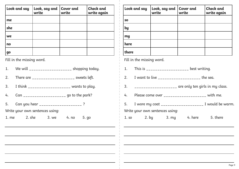| Look and say   | Look, say and $\vert$ Cover and<br>write | write | Check and<br>write again |
|----------------|------------------------------------------|-------|--------------------------|
| me             |                                          |       |                          |
| she            |                                          |       |                          |
| we             |                                          |       |                          |
| n <sub>0</sub> |                                          |       |                          |
| go             |                                          |       |                          |

- 1. We will \_\_\_\_\_\_\_\_\_\_\_\_\_\_\_\_\_\_ shopping today.
- 2. There are  $\frac{1}{2}$  sweets left.
- 3. I think \_\_\_\_\_\_\_\_\_\_\_\_\_\_\_\_\_\_\_ wants to play.
- 4.  $\mathsf{Can}$   $\frac{1}{2}$  Can  $\frac{1}{2}$   $\frac{1}{2}$   $\frac{1}{2}$   $\frac{1}{2}$   $\frac{1}{2}$   $\frac{1}{2}$   $\frac{1}{2}$   $\frac{1}{2}$   $\frac{1}{2}$   $\frac{1}{2}$   $\frac{1}{2}$   $\frac{1}{2}$   $\frac{1}{2}$   $\frac{1}{2}$   $\frac{1}{2}$   $\frac{1}{2}$   $\frac{1}{2}$   $\frac{1}{2}$   $\frac{1}{2}$   $\frac{1$
- 5. Can you hear \_\_\_\_\_\_\_\_\_\_\_\_\_\_\_\_\_\_\_\_ ?

Write your own sentences using:

| 1. me | 2. she | 3. we | 4. no | 5. go |
|-------|--------|-------|-------|-------|
|       |        |       |       |       |

|           | Look and say              | Look, say and<br>write                                                                                                                                                                                                                                                                           | Cover and<br>write | <b>Check and</b><br>write again |
|-----------|---------------------------|--------------------------------------------------------------------------------------------------------------------------------------------------------------------------------------------------------------------------------------------------------------------------------------------------|--------------------|---------------------------------|
| <b>SO</b> |                           |                                                                                                                                                                                                                                                                                                  |                    |                                 |
| by        |                           |                                                                                                                                                                                                                                                                                                  |                    |                                 |
| my        |                           |                                                                                                                                                                                                                                                                                                  |                    |                                 |
| here      |                           |                                                                                                                                                                                                                                                                                                  |                    |                                 |
| there     |                           |                                                                                                                                                                                                                                                                                                  |                    |                                 |
|           | Fill in the missing word. |                                                                                                                                                                                                                                                                                                  |                    |                                 |
|           |                           | 1. This is $\frac{1}{2}$ This is $\frac{1}{2}$ = $\frac{1}{2}$ = $\frac{1}{2}$ = $\frac{1}{2}$ = $\frac{1}{2}$ = $\frac{1}{2}$ = $\frac{1}{2}$ = $\frac{1}{2}$ = $\frac{1}{2}$ = $\frac{1}{2}$ = $\frac{1}{2}$ = $\frac{1}{2}$ = $\frac{1}{2}$ = $\frac{1}{2}$ = $\frac{1}{2}$ = $\frac{1}{2}$ = |                    |                                 |
|           |                           | 2. I want to live ____________________ the sea.                                                                                                                                                                                                                                                  |                    |                                 |

- 3. \_\_\_\_\_\_\_\_\_\_\_\_\_\_\_\_\_\_\_ are only ten girls in my class.
- 4. Please come over **Example 20** with me.
- 5. I wore my coat \_\_\_\_\_\_\_\_\_\_\_\_\_\_\_\_\_\_\_\_ I would be warm.

Write your own sentences using:

1. so  $2.$  by  $3.$  my  $4.$  here  $5.$  there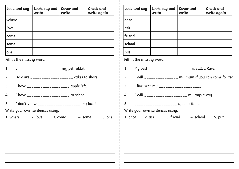| Look and say | Look, say and<br>write | Cover and<br>write | <b>Check and</b><br>write again |
|--------------|------------------------|--------------------|---------------------------------|
| where        |                        |                    |                                 |
| love         |                        |                    |                                 |
| come         |                        |                    |                                 |
| some         |                        |                    |                                 |
| one          |                        |                    |                                 |

| 1. |                                 | $I$ <sub>-------------------</sub> my pet rabbit.                                                                                                                                                                                                                                                      |                                                                                                                                                                                                                                                                                                                    |
|----|---------------------------------|--------------------------------------------------------------------------------------------------------------------------------------------------------------------------------------------------------------------------------------------------------------------------------------------------------|--------------------------------------------------------------------------------------------------------------------------------------------------------------------------------------------------------------------------------------------------------------------------------------------------------------------|
| 2. |                                 |                                                                                                                                                                                                                                                                                                        | Here are $\frac{1}{1}$ $\frac{1}{1}$ $\frac{1}{1}$ $\frac{1}{1}$ $\frac{1}{1}$ $\frac{1}{1}$ $\frac{1}{1}$ $\frac{1}{1}$ $\frac{1}{1}$ $\frac{1}{1}$ $\frac{1}{1}$ $\frac{1}{1}$ $\frac{1}{1}$ $\frac{1}{1}$ $\frac{1}{1}$ $\frac{1}{1}$ $\frac{1}{1}$ $\frac{1}{1}$ $\frac{1}{1}$ $\frac{1}{1}$ $\frac{1}{1}$ $\$ |
| 3. |                                 | I have $\frac{1}{2}$ have $\frac{1}{2}$ = $\frac{1}{2}$ = $\frac{1}{2}$ = $\frac{1}{2}$ = $\frac{1}{2}$ = $\frac{1}{2}$ = $\frac{1}{2}$ = $\frac{1}{2}$ = $\frac{1}{2}$ = $\frac{1}{2}$ = $\frac{1}{2}$ = $\frac{1}{2}$ = $\frac{1}{2}$ = $\frac{1}{2}$ = $\frac{1}{2}$ = $\frac{1}{2}$ = $\frac{1}{2$ |                                                                                                                                                                                                                                                                                                                    |
|    |                                 | 4. I have _____________________ to school!                                                                                                                                                                                                                                                             |                                                                                                                                                                                                                                                                                                                    |
|    |                                 |                                                                                                                                                                                                                                                                                                        | 5. I don't know ____________________ my hat is.                                                                                                                                                                                                                                                                    |
|    | Write your own sentences using: |                                                                                                                                                                                                                                                                                                        |                                                                                                                                                                                                                                                                                                                    |
|    | 1. where 2. love 3. come        |                                                                                                                                                                                                                                                                                                        | 4. some                                                                                                                                                                                                                                                                                                            |
|    |                                 |                                                                                                                                                                                                                                                                                                        |                                                                                                                                                                                                                                                                                                                    |
|    |                                 |                                                                                                                                                                                                                                                                                                        |                                                                                                                                                                                                                                                                                                                    |
|    |                                 |                                                                                                                                                                                                                                                                                                        |                                                                                                                                                                                                                                                                                                                    |

5. one

|        | Look and say              | Look, say and $\vert$ Cover and<br>write | write                                                 | <b>Check and</b><br>write again |
|--------|---------------------------|------------------------------------------|-------------------------------------------------------|---------------------------------|
| once   |                           |                                          |                                                       |                                 |
| ask    |                           |                                          |                                                       |                                 |
| friend |                           |                                          |                                                       |                                 |
| school |                           |                                          |                                                       |                                 |
| put    |                           |                                          |                                                       |                                 |
|        | Fill in the missing word. |                                          |                                                       |                                 |
|        |                           |                                          |                                                       |                                 |
| 1.     |                           |                                          | My best ___________________ is called Ravi.           |                                 |
| 2.     |                           |                                          | I will ______________ my mum if you can come for tea. |                                 |
|        |                           | 3. I live near my ____________________.  |                                                       |                                 |
|        |                           |                                          | 4. I will ____________________ my toys away.          |                                 |
| 5.     |                           | ____________________ upon a time         |                                                       |                                 |
|        |                           | Write your own sentences using:          |                                                       |                                 |